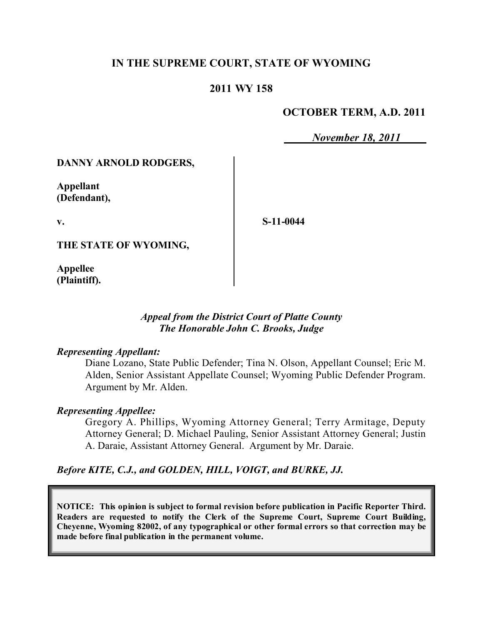# **IN THE SUPREME COURT, STATE OF WYOMING**

## **2011 WY 158**

## **OCTOBER TERM, A.D. 2011**

*November 18, 2011*

#### **DANNY ARNOLD RODGERS,**

**Appellant (Defendant),**

**v.**

**S-11-0044**

**THE STATE OF WYOMING,**

**Appellee (Plaintiff).**

#### *Appeal from the District Court of Platte County The Honorable John C. Brooks, Judge*

#### *Representing Appellant:*

Diane Lozano, State Public Defender; Tina N. Olson, Appellant Counsel; Eric M. Alden, Senior Assistant Appellate Counsel; Wyoming Public Defender Program. Argument by Mr. Alden.

#### *Representing Appellee:*

Gregory A. Phillips, Wyoming Attorney General; Terry Armitage, Deputy Attorney General; D. Michael Pauling, Senior Assistant Attorney General; Justin A. Daraie, Assistant Attorney General. Argument by Mr. Daraie.

*Before KITE, C.J., and GOLDEN, HILL, VOIGT, and BURKE, JJ.*

**NOTICE: This opinion is subject to formal revision before publication in Pacific Reporter Third. Readers are requested to notify the Clerk of the Supreme Court, Supreme Court Building, Cheyenne, Wyoming 82002, of any typographical or other formal errors so that correction may be made before final publication in the permanent volume.**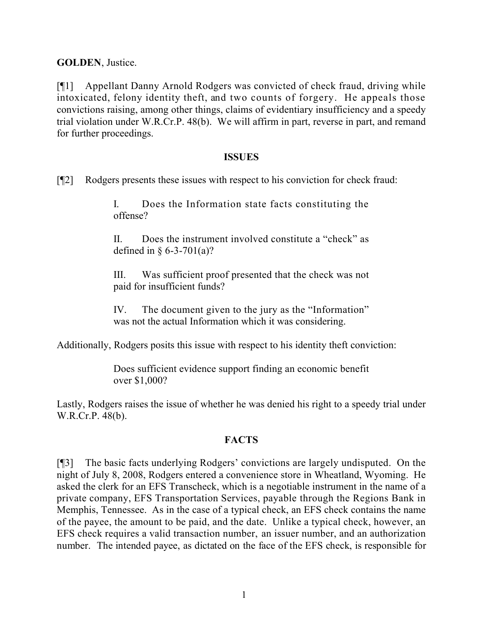**GOLDEN**, Justice.

[¶1] Appellant Danny Arnold Rodgers was convicted of check fraud, driving while intoxicated, felony identity theft, and two counts of forgery. He appeals those convictions raising, among other things, claims of evidentiary insufficiency and a speedy trial violation under W.R.Cr.P. 48(b). We will affirm in part, reverse in part, and remand for further proceedings.

#### **ISSUES**

[¶2] Rodgers presents these issues with respect to his conviction for check fraud:

I. Does the Information state facts constituting the offense?

II. Does the instrument involved constitute a "check" as defined in  $\S 6 - 3 - 701(a)$ ?

III. Was sufficient proof presented that the check was not paid for insufficient funds?

IV. The document given to the jury as the "Information" was not the actual Information which it was considering.

Additionally, Rodgers posits this issue with respect to his identity theft conviction:

Does sufficient evidence support finding an economic benefit over \$1,000?

Lastly, Rodgers raises the issue of whether he was denied his right to a speedy trial under W.R.Cr.P. 48(b).

## **FACTS**

[¶3] The basic facts underlying Rodgers' convictions are largely undisputed. On the night of July 8, 2008, Rodgers entered a convenience store in Wheatland, Wyoming. He asked the clerk for an EFS Transcheck, which is a negotiable instrument in the name of a private company, EFS Transportation Services, payable through the Regions Bank in Memphis, Tennessee. As in the case of a typical check, an EFS check contains the name of the payee, the amount to be paid, and the date. Unlike a typical check, however, an EFS check requires a valid transaction number, an issuer number, and an authorization number. The intended payee, as dictated on the face of the EFS check, is responsible for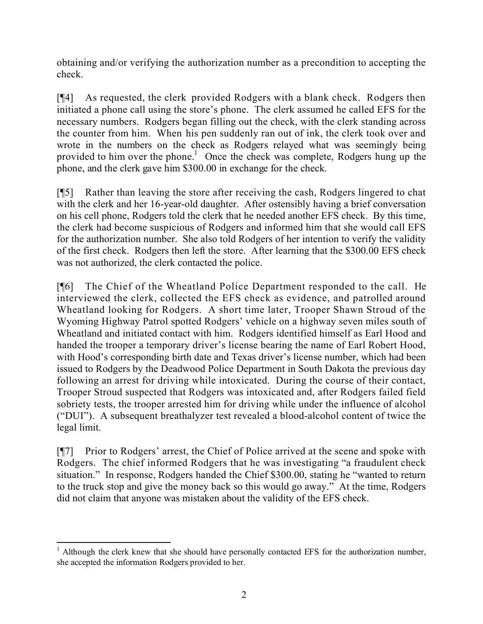obtaining and/or verifying the authorization number as a precondition to accepting the check.

[¶4] As requested, the clerk provided Rodgers with a blank check. Rodgers then initiated a phone call using the store's phone. The clerk assumed he called EFS for the necessary numbers. Rodgers began filling out the check, with the clerk standing across the counter from him. When his pen suddenly ran out of ink, the clerk took over and wrote in the numbers on the check as Rodgers relayed what was seemingly being provided to him over the phone.<sup>1</sup> Once the check was complete, Rodgers hung up the phone, and the clerk gave him \$300.00 in exchange for the check.

[¶5] Rather than leaving the store after receiving the cash, Rodgers lingered to chat with the clerk and her 16-year-old daughter. After ostensibly having a brief conversation on his cell phone, Rodgers told the clerk that he needed another EFS check. By this time, the clerk had become suspicious of Rodgers and informed him that she would call EFS for the authorization number. She also told Rodgers of her intention to verify the validity of the first check. Rodgers then left the store. After learning that the \$300.00 EFS check was not authorized, the clerk contacted the police.

[¶6] The Chief of the Wheatland Police Department responded to the call. He interviewed the clerk, collected the EFS check as evidence, and patrolled around Wheatland looking for Rodgers. A short time later, Trooper Shawn Stroud of the Wyoming Highway Patrol spotted Rodgers' vehicle on a highway seven miles south of Wheatland and initiated contact with him. Rodgers identified himself as Earl Hood and handed the trooper a temporary driver's license bearing the name of Earl Robert Hood, with Hood's corresponding birth date and Texas driver's license number, which had been issued to Rodgers by the Deadwood Police Department in South Dakota the previous day following an arrest for driving while intoxicated. During the course of their contact, Trooper Stroud suspected that Rodgers was intoxicated and, after Rodgers failed field sobriety tests, the trooper arrested him for driving while under the influence of alcohol ("DUI"). A subsequent breathalyzer test revealed a blood-alcohol content of twice the legal limit.

[¶7] Prior to Rodgers' arrest, the Chief of Police arrived at the scene and spoke with Rodgers. The chief informed Rodgers that he was investigating "a fraudulent check situation." In response, Rodgers handed the Chief \$300.00, stating he "wanted to return to the truck stop and give the money back so this would go away." At the time, Rodgers did not claim that anyone was mistaken about the validity of the EFS check.

 $\overline{a}$  $<sup>1</sup>$  Although the clerk knew that she should have personally contacted EFS for the authorization number,</sup> she accepted the information Rodgers provided to her.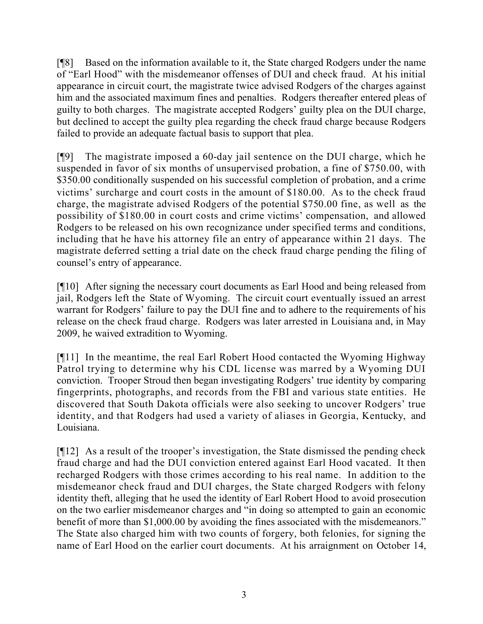[¶8] Based on the information available to it, the State charged Rodgers under the name of "Earl Hood" with the misdemeanor offenses of DUI and check fraud. At his initial appearance in circuit court, the magistrate twice advised Rodgers of the charges against him and the associated maximum fines and penalties. Rodgers thereafter entered pleas of guilty to both charges. The magistrate accepted Rodgers' guilty plea on the DUI charge, but declined to accept the guilty plea regarding the check fraud charge because Rodgers failed to provide an adequate factual basis to support that plea.

[¶9] The magistrate imposed a 60-day jail sentence on the DUI charge, which he suspended in favor of six months of unsupervised probation, a fine of \$750.00, with \$350.00 conditionally suspended on his successful completion of probation, and a crime victims' surcharge and court costs in the amount of \$180.00. As to the check fraud charge, the magistrate advised Rodgers of the potential \$750.00 fine, as well as the possibility of \$180.00 in court costs and crime victims' compensation, and allowed Rodgers to be released on his own recognizance under specified terms and conditions, including that he have his attorney file an entry of appearance within 21 days. The magistrate deferred setting a trial date on the check fraud charge pending the filing of counsel's entry of appearance.

[¶10] After signing the necessary court documents as Earl Hood and being released from jail, Rodgers left the State of Wyoming. The circuit court eventually issued an arrest warrant for Rodgers' failure to pay the DUI fine and to adhere to the requirements of his release on the check fraud charge. Rodgers was later arrested in Louisiana and, in May 2009, he waived extradition to Wyoming.

[¶11] In the meantime, the real Earl Robert Hood contacted the Wyoming Highway Patrol trying to determine why his CDL license was marred by a Wyoming DUI conviction. Trooper Stroud then began investigating Rodgers' true identity by comparing fingerprints, photographs, and records from the FBI and various state entities. He discovered that South Dakota officials were also seeking to uncover Rodgers' true identity, and that Rodgers had used a variety of aliases in Georgia, Kentucky, and Louisiana.

[¶12] As a result of the trooper's investigation, the State dismissed the pending check fraud charge and had the DUI conviction entered against Earl Hood vacated. It then recharged Rodgers with those crimes according to his real name. In addition to the misdemeanor check fraud and DUI charges, the State charged Rodgers with felony identity theft, alleging that he used the identity of Earl Robert Hood to avoid prosecution on the two earlier misdemeanor charges and "in doing so attempted to gain an economic benefit of more than \$1,000.00 by avoiding the fines associated with the misdemeanors." The State also charged him with two counts of forgery, both felonies, for signing the name of Earl Hood on the earlier court documents. At his arraignment on October 14,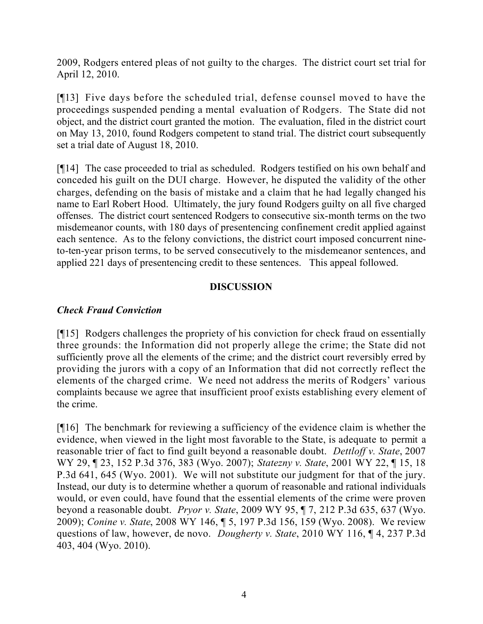2009, Rodgers entered pleas of not guilty to the charges. The district court set trial for April 12, 2010.

[¶13] Five days before the scheduled trial, defense counsel moved to have the proceedings suspended pending a mental evaluation of Rodgers. The State did not object, and the district court granted the motion. The evaluation, filed in the district court on May 13, 2010, found Rodgers competent to stand trial. The district court subsequently set a trial date of August 18, 2010.

[¶14] The case proceeded to trial as scheduled. Rodgers testified on his own behalf and conceded his guilt on the DUI charge. However, he disputed the validity of the other charges, defending on the basis of mistake and a claim that he had legally changed his name to Earl Robert Hood. Ultimately, the jury found Rodgers guilty on all five charged offenses. The district court sentenced Rodgers to consecutive six-month terms on the two misdemeanor counts, with 180 days of presentencing confinement credit applied against each sentence. As to the felony convictions, the district court imposed concurrent nineto-ten-year prison terms, to be served consecutively to the misdemeanor sentences, and applied 221 days of presentencing credit to these sentences. This appeal followed.

# **DISCUSSION**

# *Check Fraud Conviction*

[¶15] Rodgers challenges the propriety of his conviction for check fraud on essentially three grounds: the Information did not properly allege the crime; the State did not sufficiently prove all the elements of the crime; and the district court reversibly erred by providing the jurors with a copy of an Information that did not correctly reflect the elements of the charged crime. We need not address the merits of Rodgers' various complaints because we agree that insufficient proof exists establishing every element of the crime.

[¶16] The benchmark for reviewing a sufficiency of the evidence claim is whether the evidence, when viewed in the light most favorable to the State, is adequate to permit a reasonable trier of fact to find guilt beyond a reasonable doubt. *Dettloff v. State*, 2007 WY 29, ¶ 23, 152 P.3d 376, 383 (Wyo. 2007); *Statezny v. State*, 2001 WY 22, ¶ 15, 18 P.3d 641, 645 (Wyo. 2001). We will not substitute our judgment for that of the jury. Instead, our duty is to determine whether a quorum of reasonable and rational individuals would, or even could, have found that the essential elements of the crime were proven beyond a reasonable doubt. *Pryor v. State*, 2009 WY 95, ¶ 7, 212 P.3d 635, 637 (Wyo. 2009); *Conine v. State*, 2008 WY 146, ¶ 5, 197 P.3d 156, 159 (Wyo. 2008). We review questions of law, however, de novo. *Dougherty v. State*, 2010 WY 116, ¶ 4, 237 P.3d 403, 404 (Wyo. 2010).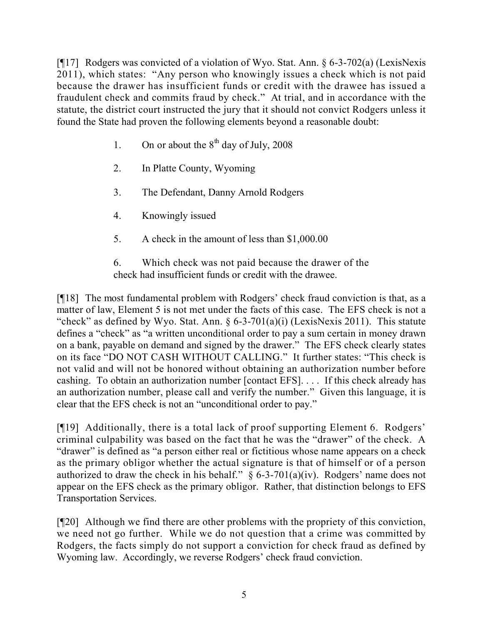[¶17] Rodgers was convicted of a violation of Wyo. Stat. Ann. § 6-3-702(a) (LexisNexis 2011), which states: "Any person who knowingly issues a check which is not paid because the drawer has insufficient funds or credit with the drawee has issued a fraudulent check and commits fraud by check." At trial, and in accordance with the statute, the district court instructed the jury that it should not convict Rodgers unless it found the State had proven the following elements beyond a reasonable doubt:

- 1. On or about the  $8<sup>th</sup>$  day of July, 2008
- 2. In Platte County, Wyoming
- 3. The Defendant, Danny Arnold Rodgers
- 4. Knowingly issued
- 5. A check in the amount of less than \$1,000.00

6. Which check was not paid because the drawer of the check had insufficient funds or credit with the drawee.

[¶18] The most fundamental problem with Rodgers' check fraud conviction is that, as a matter of law, Element 5 is not met under the facts of this case. The EFS check is not a "check" as defined by Wyo. Stat. Ann.  $\S 6-3-701(a)(i)$  (LexisNexis 2011). This statute defines a "check" as "a written unconditional order to pay a sum certain in money drawn on a bank, payable on demand and signed by the drawer." The EFS check clearly states on its face "DO NOT CASH WITHOUT CALLING." It further states: "This check is not valid and will not be honored without obtaining an authorization number before cashing. To obtain an authorization number [contact EFS]. . . . If this check already has an authorization number, please call and verify the number." Given this language, it is clear that the EFS check is not an "unconditional order to pay."

[¶19] Additionally, there is a total lack of proof supporting Element 6. Rodgers' criminal culpability was based on the fact that he was the "drawer" of the check. A "drawer" is defined as "a person either real or fictitious whose name appears on a check as the primary obligor whether the actual signature is that of himself or of a person authorized to draw the check in his behalf."  $\S 6-3-701(a)(iv)$ . Rodgers' name does not appear on the EFS check as the primary obligor. Rather, that distinction belongs to EFS Transportation Services.

[¶20] Although we find there are other problems with the propriety of this conviction, we need not go further. While we do not question that a crime was committed by Rodgers, the facts simply do not support a conviction for check fraud as defined by Wyoming law. Accordingly, we reverse Rodgers' check fraud conviction.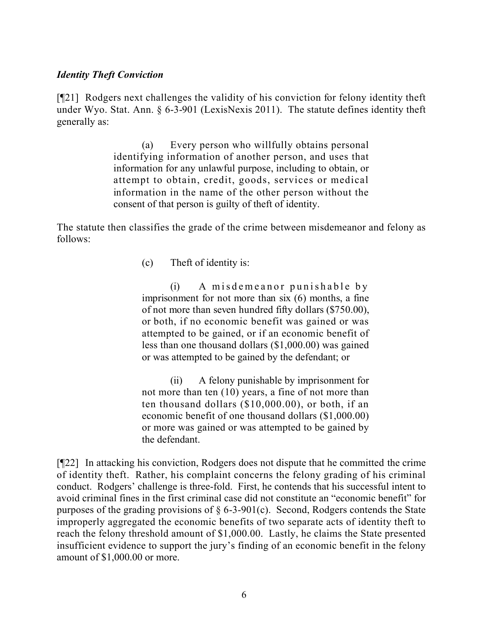#### *Identity Theft Conviction*

[¶21] Rodgers next challenges the validity of his conviction for felony identity theft under Wyo. Stat. Ann. § 6-3-901 (LexisNexis 2011). The statute defines identity theft generally as:

> (a) Every person who willfully obtains personal identifying information of another person, and uses that information for any unlawful purpose, including to obtain, or attempt to obtain, credit, goods, services or medical information in the name of the other person without the consent of that person is guilty of theft of identity.

The statute then classifies the grade of the crime between misdemeanor and felony as follows:

(c) Theft of identity is:

(i) A misdemeanor punishable by imprisonment for not more than six (6) months, a fine of not more than seven hundred fifty dollars (\$750.00), or both, if no economic benefit was gained or was attempted to be gained, or if an economic benefit of less than one thousand dollars (\$1,000.00) was gained or was attempted to be gained by the defendant; or

(ii) A felony punishable by imprisonment for not more than ten (10) years, a fine of not more than ten thousand dollars (\$10,000.00), or both, if an economic benefit of one thousand dollars (\$1,000.00) or more was gained or was attempted to be gained by the defendant.

[¶22] In attacking his conviction, Rodgers does not dispute that he committed the crime of identity theft. Rather, his complaint concerns the felony grading of his criminal conduct. Rodgers' challenge is three-fold. First, he contends that his successful intent to avoid criminal fines in the first criminal case did not constitute an "economic benefit" for purposes of the grading provisions of  $\S 6$ -3-901(c). Second, Rodgers contends the State improperly aggregated the economic benefits of two separate acts of identity theft to reach the felony threshold amount of \$1,000.00. Lastly, he claims the State presented insufficient evidence to support the jury's finding of an economic benefit in the felony amount of \$1,000.00 or more.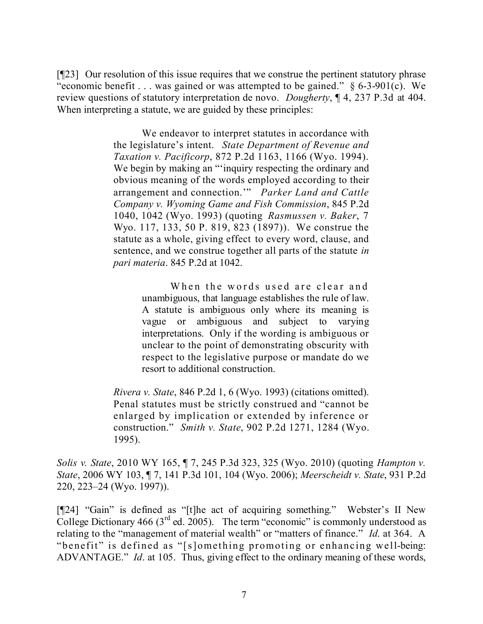[¶23] Our resolution of this issue requires that we construe the pertinent statutory phrase "economic benefit . . . was gained or was attempted to be gained."  $\S$  6-3-901(c). We review questions of statutory interpretation de novo. *Dougherty*, ¶ 4, 237 P.3d at 404. When interpreting a statute, we are guided by these principles:

> We endeavor to interpret statutes in accordance with the legislature's intent. *State Department of Revenue and Taxation v. Pacificorp*, 872 P.2d 1163, 1166 (Wyo. 1994). We begin by making an "'inquiry respecting the ordinary and obvious meaning of the words employed according to their arrangement and connection.'" *Parker Land and Cattle Company v. Wyoming Game and Fish Commission*, 845 P.2d 1040, 1042 (Wyo. 1993) (quoting *Rasmussen v. Baker*, 7 Wyo. 117, 133, 50 P. 819, 823 (1897)). We construe the statute as a whole, giving effect to every word, clause, and sentence, and we construe together all parts of the statute *in pari materia*. 845 P.2d at 1042.

> > When the words used are clear and unambiguous, that language establishes the rule of law. A statute is ambiguous only where its meaning is vague or ambiguous and subject to varying interpretations. Only if the wording is ambiguous or unclear to the point of demonstrating obscurity with respect to the legislative purpose or mandate do we resort to additional construction.

*Rivera v. State*, 846 P.2d 1, 6 (Wyo. 1993) (citations omitted). Penal statutes must be strictly construed and "cannot be enlarged by implication or extended by inference or construction." *Smith v. State*, 902 P.2d 1271, 1284 (Wyo. 1995).

*Solis v. State*, 2010 WY 165, ¶ 7, 245 P.3d 323, 325 (Wyo. 2010) (quoting *Hampton v. State*, 2006 WY 103, ¶ 7, 141 P.3d 101, 104 (Wyo. 2006); *Meerscheidt v. State*, 931 P.2d 220, 223–24 (Wyo. 1997)).

[¶24] "Gain" is defined as "[t]he act of acquiring something." Webster's II New College Dictionary 466 ( $3<sup>rd</sup>$  ed. 2005). The term "economic" is commonly understood as relating to the "management of material wealth" or "matters of finance." *Id*. at 364. A "benefit" is defined as "[s]omething promoting or enhancing well-being: ADVANTAGE." *Id*. at 105. Thus, giving effect to the ordinary meaning of these words,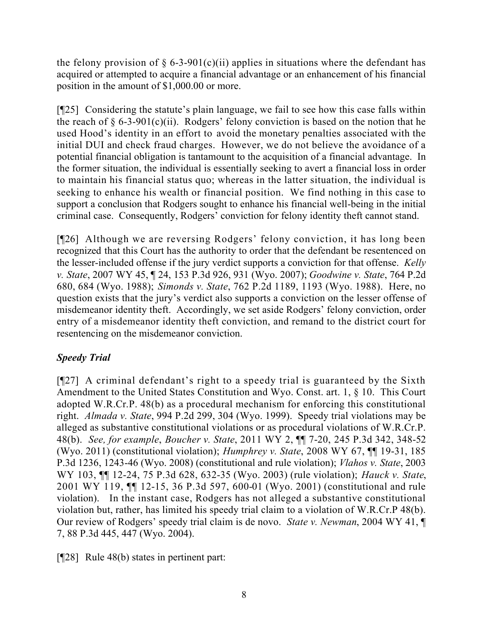the felony provision of  $\S$  6-3-901(c)(ii) applies in situations where the defendant has acquired or attempted to acquire a financial advantage or an enhancement of his financial position in the amount of \$1,000.00 or more.

[¶25] Considering the statute's plain language, we fail to see how this case falls within the reach of  $\S 6$ -3-901(c)(ii). Rodgers' felony conviction is based on the notion that he used Hood's identity in an effort to avoid the monetary penalties associated with the initial DUI and check fraud charges. However, we do not believe the avoidance of a potential financial obligation is tantamount to the acquisition of a financial advantage. In the former situation, the individual is essentially seeking to avert a financial loss in order to maintain his financial status quo; whereas in the latter situation, the individual is seeking to enhance his wealth or financial position. We find nothing in this case to support a conclusion that Rodgers sought to enhance his financial well-being in the initial criminal case. Consequently, Rodgers' conviction for felony identity theft cannot stand.

[¶26] Although we are reversing Rodgers' felony conviction, it has long been recognized that this Court has the authority to order that the defendant be resentenced on the lesser-included offense if the jury verdict supports a conviction for that offense. *Kelly v. State*, 2007 WY 45, ¶ 24, 153 P.3d 926, 931 (Wyo. 2007); *Goodwine v. State*, 764 P.2d 680, 684 (Wyo. 1988); *Simonds v. State*, 762 P.2d 1189, 1193 (Wyo. 1988). Here, no question exists that the jury's verdict also supports a conviction on the lesser offense of misdemeanor identity theft. Accordingly, we set aside Rodgers' felony conviction, order entry of a misdemeanor identity theft conviction, and remand to the district court for resentencing on the misdemeanor conviction.

# *Speedy Trial*

[¶27] A criminal defendant's right to a speedy trial is guaranteed by the Sixth Amendment to the United States Constitution and Wyo. Const. art. 1, § 10. This Court adopted W.R.Cr.P. 48(b) as a procedural mechanism for enforcing this constitutional right. *Almada v. State*, 994 P.2d 299, 304 (Wyo. 1999). Speedy trial violations may be alleged as substantive constitutional violations or as procedural violations of W.R.Cr.P. 48(b). *See, for example*, *Boucher v. State*, 2011 WY 2, ¶¶ 7-20, 245 P.3d 342, 348-52 (Wyo. 2011) (constitutional violation); *Humphrey v. State*, 2008 WY 67, ¶¶ 19-31, 185 P.3d 1236, 1243-46 (Wyo. 2008) (constitutional and rule violation); *Vlahos v. State*, 2003 WY 103, ¶¶ 12-24, 75 P.3d 628, 632-35 (Wyo. 2003) (rule violation); *Hauck v. State*, 2001 WY 119, ¶¶ 12-15, 36 P.3d 597, 600-01 (Wyo. 2001) (constitutional and rule violation). In the instant case, Rodgers has not alleged a substantive constitutional violation but, rather, has limited his speedy trial claim to a violation of W.R.Cr.P 48(b). Our review of Rodgers' speedy trial claim is de novo. *State v. Newman*, 2004 WY 41, ¶ 7, 88 P.3d 445, 447 (Wyo. 2004).

[¶28] Rule 48(b) states in pertinent part: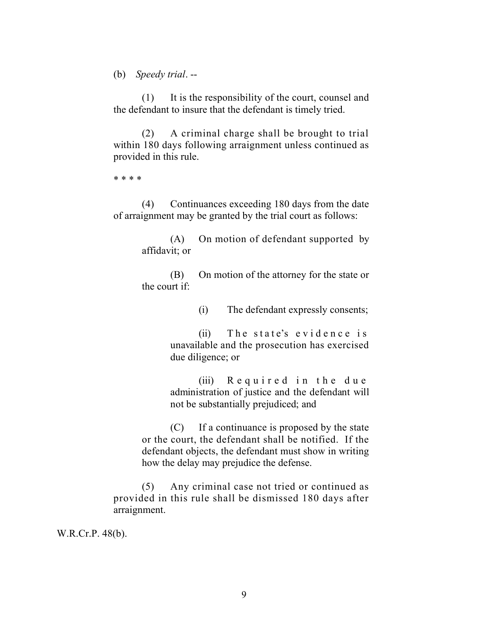(b) *Speedy trial*. --

(1) It is the responsibility of the court, counsel and the defendant to insure that the defendant is timely tried.

(2) A criminal charge shall be brought to trial within 180 days following arraignment unless continued as provided in this rule.

\* \* \* \*

(4) Continuances exceeding 180 days from the date of arraignment may be granted by the trial court as follows:

> (A) On motion of defendant supported by affidavit; or

> (B) On motion of the attorney for the state or the court if:

> > (i) The defendant expressly consents;

(ii) The state's evidence is unavailable and the prosecution has exercised due diligence; or

(iii) Required in the due administration of justice and the defendant will not be substantially prejudiced; and

(C) If a continuance is proposed by the state or the court, the defendant shall be notified. If the defendant objects, the defendant must show in writing how the delay may prejudice the defense.

(5) Any criminal case not tried or continued as provided in this rule shall be dismissed 180 days after arraignment.

W.R.Cr.P. 48(b).